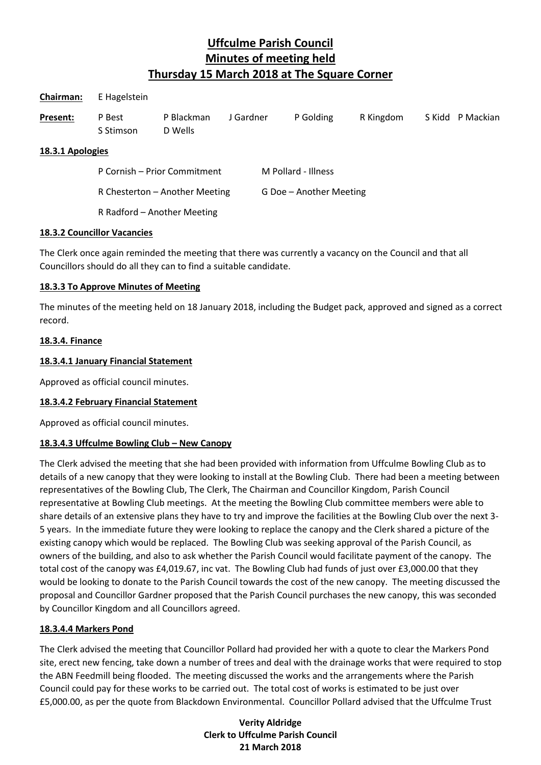| <b>Chairman:</b> | E Hagelstein                   |                       |           |                         |           |           |  |                  |
|------------------|--------------------------------|-----------------------|-----------|-------------------------|-----------|-----------|--|------------------|
| Present:         | P Best<br>S Stimson            | P Blackman<br>D Wells | J Gardner |                         | P Golding | R Kingdom |  | S Kidd P Mackian |
| 18.3.1 Apologies |                                |                       |           |                         |           |           |  |                  |
|                  | P Cornish - Prior Commitment   |                       |           | M Pollard - Illness     |           |           |  |                  |
|                  | R Chesterton - Another Meeting |                       |           | G Doe - Another Meeting |           |           |  |                  |
|                  |                                |                       |           |                         |           |           |  |                  |

R Radford – Another Meeting

#### **18.3.2 Councillor Vacancies**

The Clerk once again reminded the meeting that there was currently a vacancy on the Council and that all Councillors should do all they can to find a suitable candidate.

#### **18.3.3 To Approve Minutes of Meeting**

The minutes of the meeting held on 18 January 2018, including the Budget pack, approved and signed as a correct record.

### **18.3.4. Finance**

### **18.3.4.1 January Financial Statement**

Approved as official council minutes.

### **18.3.4.2 February Financial Statement**

Approved as official council minutes.

### **18.3.4.3 Uffculme Bowling Club – New Canopy**

The Clerk advised the meeting that she had been provided with information from Uffculme Bowling Club as to details of a new canopy that they were looking to install at the Bowling Club. There had been a meeting between representatives of the Bowling Club, The Clerk, The Chairman and Councillor Kingdom, Parish Council representative at Bowling Club meetings. At the meeting the Bowling Club committee members were able to share details of an extensive plans they have to try and improve the facilities at the Bowling Club over the next 3- 5 years. In the immediate future they were looking to replace the canopy and the Clerk shared a picture of the existing canopy which would be replaced. The Bowling Club was seeking approval of the Parish Council, as owners of the building, and also to ask whether the Parish Council would facilitate payment of the canopy. The total cost of the canopy was £4,019.67, inc vat. The Bowling Club had funds of just over £3,000.00 that they would be looking to donate to the Parish Council towards the cost of the new canopy. The meeting discussed the proposal and Councillor Gardner proposed that the Parish Council purchases the new canopy, this was seconded by Councillor Kingdom and all Councillors agreed.

### **18.3.4.4 Markers Pond**

The Clerk advised the meeting that Councillor Pollard had provided her with a quote to clear the Markers Pond site, erect new fencing, take down a number of trees and deal with the drainage works that were required to stop the ABN Feedmill being flooded. The meeting discussed the works and the arrangements where the Parish Council could pay for these works to be carried out. The total cost of works is estimated to be just over £5,000.00, as per the quote from Blackdown Environmental. Councillor Pollard advised that the Uffculme Trust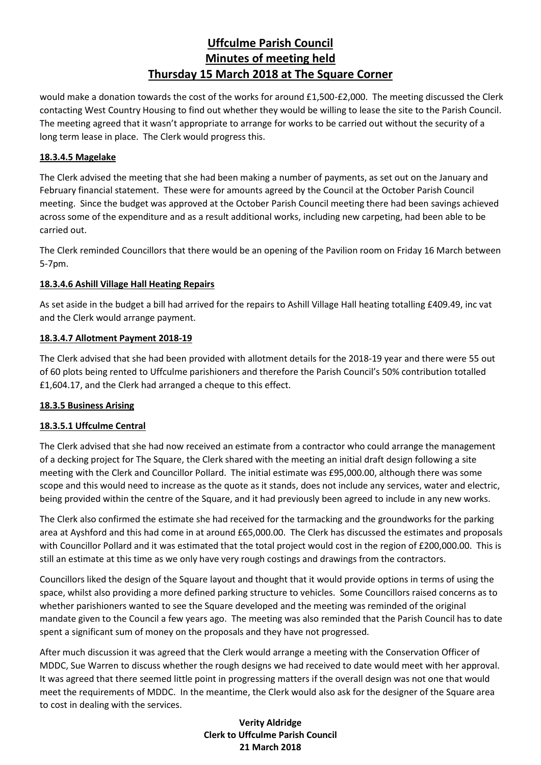would make a donation towards the cost of the works for around £1,500-£2,000. The meeting discussed the Clerk contacting West Country Housing to find out whether they would be willing to lease the site to the Parish Council. The meeting agreed that it wasn't appropriate to arrange for works to be carried out without the security of a long term lease in place. The Clerk would progress this.

## **18.3.4.5 Magelake**

The Clerk advised the meeting that she had been making a number of payments, as set out on the January and February financial statement. These were for amounts agreed by the Council at the October Parish Council meeting. Since the budget was approved at the October Parish Council meeting there had been savings achieved across some of the expenditure and as a result additional works, including new carpeting, had been able to be carried out.

The Clerk reminded Councillors that there would be an opening of the Pavilion room on Friday 16 March between 5-7pm.

## **18.3.4.6 Ashill Village Hall Heating Repairs**

As set aside in the budget a bill had arrived for the repairs to Ashill Village Hall heating totalling £409.49, inc vat and the Clerk would arrange payment.

## **18.3.4.7 Allotment Payment 2018-19**

The Clerk advised that she had been provided with allotment details for the 2018-19 year and there were 55 out of 60 plots being rented to Uffculme parishioners and therefore the Parish Council's 50% contribution totalled £1,604.17, and the Clerk had arranged a cheque to this effect.

### **18.3.5 Business Arising**

### **18.3.5.1 Uffculme Central**

The Clerk advised that she had now received an estimate from a contractor who could arrange the management of a decking project for The Square, the Clerk shared with the meeting an initial draft design following a site meeting with the Clerk and Councillor Pollard. The initial estimate was £95,000.00, although there was some scope and this would need to increase as the quote as it stands, does not include any services, water and electric, being provided within the centre of the Square, and it had previously been agreed to include in any new works.

The Clerk also confirmed the estimate she had received for the tarmacking and the groundworks for the parking area at Ayshford and this had come in at around £65,000.00. The Clerk has discussed the estimates and proposals with Councillor Pollard and it was estimated that the total project would cost in the region of £200,000.00. This is still an estimate at this time as we only have very rough costings and drawings from the contractors.

Councillors liked the design of the Square layout and thought that it would provide options in terms of using the space, whilst also providing a more defined parking structure to vehicles. Some Councillors raised concerns as to whether parishioners wanted to see the Square developed and the meeting was reminded of the original mandate given to the Council a few years ago. The meeting was also reminded that the Parish Council has to date spent a significant sum of money on the proposals and they have not progressed.

After much discussion it was agreed that the Clerk would arrange a meeting with the Conservation Officer of MDDC, Sue Warren to discuss whether the rough designs we had received to date would meet with her approval. It was agreed that there seemed little point in progressing matters if the overall design was not one that would meet the requirements of MDDC. In the meantime, the Clerk would also ask for the designer of the Square area to cost in dealing with the services.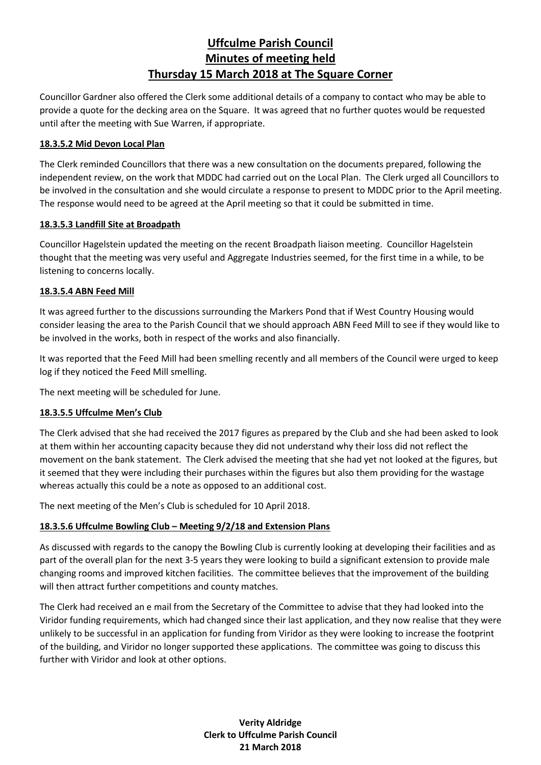Councillor Gardner also offered the Clerk some additional details of a company to contact who may be able to provide a quote for the decking area on the Square. It was agreed that no further quotes would be requested until after the meeting with Sue Warren, if appropriate.

### **18.3.5.2 Mid Devon Local Plan**

The Clerk reminded Councillors that there was a new consultation on the documents prepared, following the independent review, on the work that MDDC had carried out on the Local Plan. The Clerk urged all Councillors to be involved in the consultation and she would circulate a response to present to MDDC prior to the April meeting. The response would need to be agreed at the April meeting so that it could be submitted in time.

### **18.3.5.3 Landfill Site at Broadpath**

Councillor Hagelstein updated the meeting on the recent Broadpath liaison meeting. Councillor Hagelstein thought that the meeting was very useful and Aggregate Industries seemed, for the first time in a while, to be listening to concerns locally.

## **18.3.5.4 ABN Feed Mill**

It was agreed further to the discussions surrounding the Markers Pond that if West Country Housing would consider leasing the area to the Parish Council that we should approach ABN Feed Mill to see if they would like to be involved in the works, both in respect of the works and also financially.

It was reported that the Feed Mill had been smelling recently and all members of the Council were urged to keep log if they noticed the Feed Mill smelling.

The next meeting will be scheduled for June.

# **18.3.5.5 Uffculme Men's Club**

The Clerk advised that she had received the 2017 figures as prepared by the Club and she had been asked to look at them within her accounting capacity because they did not understand why their loss did not reflect the movement on the bank statement. The Clerk advised the meeting that she had yet not looked at the figures, but it seemed that they were including their purchases within the figures but also them providing for the wastage whereas actually this could be a note as opposed to an additional cost.

The next meeting of the Men's Club is scheduled for 10 April 2018.

# **18.3.5.6 Uffculme Bowling Club – Meeting 9/2/18 and Extension Plans**

As discussed with regards to the canopy the Bowling Club is currently looking at developing their facilities and as part of the overall plan for the next 3-5 years they were looking to build a significant extension to provide male changing rooms and improved kitchen facilities. The committee believes that the improvement of the building will then attract further competitions and county matches.

The Clerk had received an e mail from the Secretary of the Committee to advise that they had looked into the Viridor funding requirements, which had changed since their last application, and they now realise that they were unlikely to be successful in an application for funding from Viridor as they were looking to increase the footprint of the building, and Viridor no longer supported these applications. The committee was going to discuss this further with Viridor and look at other options.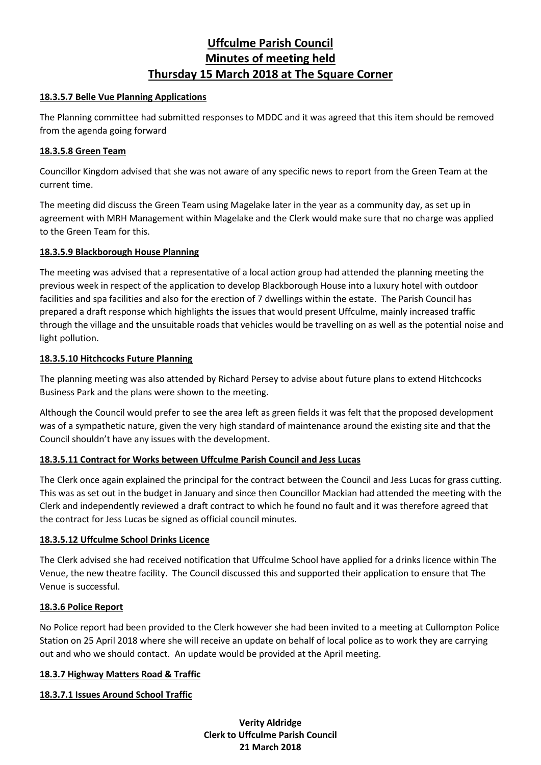### **18.3.5.7 Belle Vue Planning Applications**

The Planning committee had submitted responses to MDDC and it was agreed that this item should be removed from the agenda going forward

#### **18.3.5.8 Green Team**

Councillor Kingdom advised that she was not aware of any specific news to report from the Green Team at the current time.

The meeting did discuss the Green Team using Magelake later in the year as a community day, as set up in agreement with MRH Management within Magelake and the Clerk would make sure that no charge was applied to the Green Team for this.

#### **18.3.5.9 Blackborough House Planning**

The meeting was advised that a representative of a local action group had attended the planning meeting the previous week in respect of the application to develop Blackborough House into a luxury hotel with outdoor facilities and spa facilities and also for the erection of 7 dwellings within the estate. The Parish Council has prepared a draft response which highlights the issues that would present Uffculme, mainly increased traffic through the village and the unsuitable roads that vehicles would be travelling on as well as the potential noise and light pollution.

#### **18.3.5.10 Hitchcocks Future Planning**

The planning meeting was also attended by Richard Persey to advise about future plans to extend Hitchcocks Business Park and the plans were shown to the meeting.

Although the Council would prefer to see the area left as green fields it was felt that the proposed development was of a sympathetic nature, given the very high standard of maintenance around the existing site and that the Council shouldn't have any issues with the development.

### **18.3.5.11 Contract for Works between Uffculme Parish Council and Jess Lucas**

The Clerk once again explained the principal for the contract between the Council and Jess Lucas for grass cutting. This was as set out in the budget in January and since then Councillor Mackian had attended the meeting with the Clerk and independently reviewed a draft contract to which he found no fault and it was therefore agreed that the contract for Jess Lucas be signed as official council minutes.

### **18.3.5.12 Uffculme School Drinks Licence**

The Clerk advised she had received notification that Uffculme School have applied for a drinks licence within The Venue, the new theatre facility. The Council discussed this and supported their application to ensure that The Venue is successful.

### **18.3.6 Police Report**

No Police report had been provided to the Clerk however she had been invited to a meeting at Cullompton Police Station on 25 April 2018 where she will receive an update on behalf of local police as to work they are carrying out and who we should contact. An update would be provided at the April meeting.

#### **18.3.7 Highway Matters Road & Traffic**

### **18.3.7.1 Issues Around School Traffic**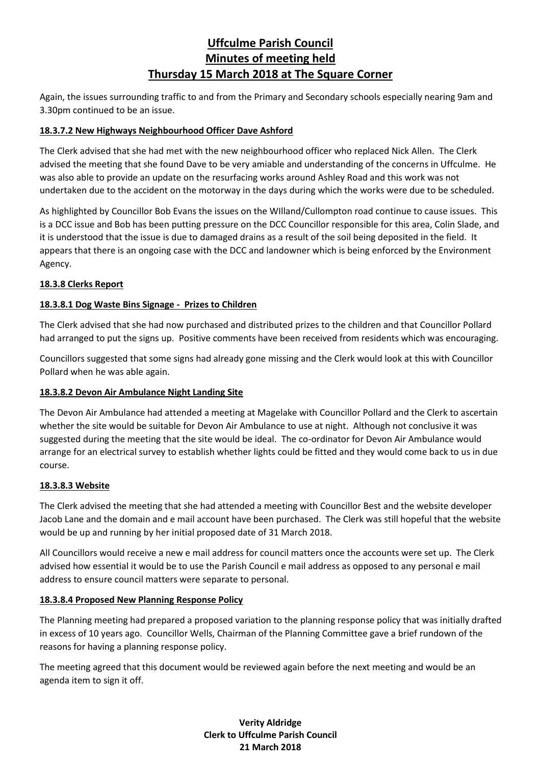Again, the issues surrounding traffic to and from the Primary and Secondary schools especially nearing 9am and 3.30pm continued to be an issue.

# **18.3.7.2 New Highways Neighbourhood Officer Dave Ashford**

The Clerk advised that she had met with the new neighbourhood officer who replaced Nick Allen. The Clerk advised the meeting that she found Dave to be very amiable and understanding of the concerns in Uffculme. He was also able to provide an update on the resurfacing works around Ashley Road and this work was not undertaken due to the accident on the motorway in the days during which the works were due to be scheduled.

As highlighted by Councillor Bob Evans the issues on the WIlland/Cullompton road continue to cause issues. This is a DCC issue and Bob has been putting pressure on the DCC Councillor responsible for this area, Colin Slade, and it is understood that the issue is due to damaged drains as a result of the soil being deposited in the field. It appears that there is an ongoing case with the DCC and landowner which is being enforced by the Environment Agency.

# **18.3.8 Clerks Report**

# **18.3.8.1 Dog Waste Bins Signage - Prizes to Children**

The Clerk advised that she had now purchased and distributed prizes to the children and that Councillor Pollard had arranged to put the signs up. Positive comments have been received from residents which was encouraging.

Councillors suggested that some signs had already gone missing and the Clerk would look at this with Councillor Pollard when he was able again.

# **18.3.8.2 Devon Air Ambulance Night Landing Site**

The Devon Air Ambulance had attended a meeting at Magelake with Councillor Pollard and the Clerk to ascertain whether the site would be suitable for Devon Air Ambulance to use at night. Although not conclusive it was suggested during the meeting that the site would be ideal. The co-ordinator for Devon Air Ambulance would arrange for an electrical survey to establish whether lights could be fitted and they would come back to us in due course.

# **18.3.8.3 Website**

The Clerk advised the meeting that she had attended a meeting with Councillor Best and the website developer Jacob Lane and the domain and e mail account have been purchased. The Clerk was still hopeful that the website would be up and running by her initial proposed date of 31 March 2018.

All Councillors would receive a new e mail address for council matters once the accounts were set up. The Clerk advised how essential it would be to use the Parish Council e mail address as opposed to any personal e mail address to ensure council matters were separate to personal.

# **18.3.8.4 Proposed New Planning Response Policy**

The Planning meeting had prepared a proposed variation to the planning response policy that was initially drafted in excess of 10 years ago. Councillor Wells, Chairman of the Planning Committee gave a brief rundown of the reasons for having a planning response policy.

The meeting agreed that this document would be reviewed again before the next meeting and would be an agenda item to sign it off.